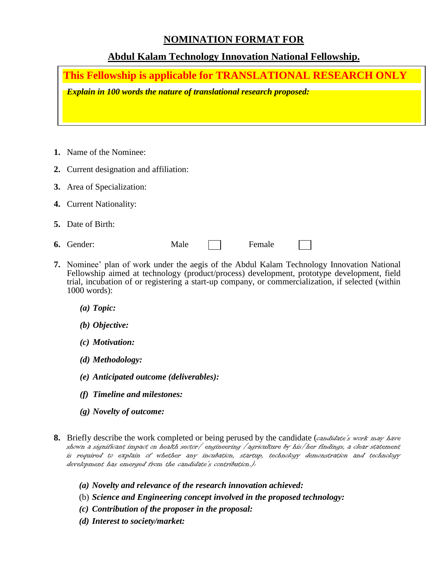### **NOMINATION FORMAT FOR**

# **Abdul Kalam Technology Innovation National Fellowship.**

**This Fellowship is applicable for TRANSLATIONAL RESEARCH ONLY**

*Explain in 100 words the nature of translational research proposed:*

- **1.** Name of the Nominee:
- **2.** Current designation and affiliation:
- **3.** Area of Specialization:
- **4.** Current Nationality:
- **5.** Date of Birth:
- **6.** Gender: Male **Female**

- **7.** Nominee' plan of work under the aegis of the Abdul Kalam Technology Innovation National Fellowship aimed at technology (product/process) development, prototype development, field trial, incubation of or registering a start-up company, or commercialization, if selected (within 1000 words):
	- *(a) Topic:*
	- *(b) Objective:*
	- *(c) Motivation:*
	- *(d) Methodology:*
	- *(e) Anticipated outcome (deliverables):*
	- *(f) Timeline and milestones:*
	- *(g) Novelty of outcome:*
- **8.** Briefly describe the work completed or being perused by the candidate (candidate's work may have shown a significant impact on health sector/ engineering /agriculture by his/her findings, a clear statement is required to explain of whether any incubation, startup, technology demonstration and technology development has emerged from the candidate's contribution.):
	- *(a) Novelty and relevance of the research innovation achieved:*
	- (b) *Science and Engineering concept involved in the proposed technology:*
	- *(c) Contribution of the proposer in the proposal:*
	- *(d) Interest to society/market:*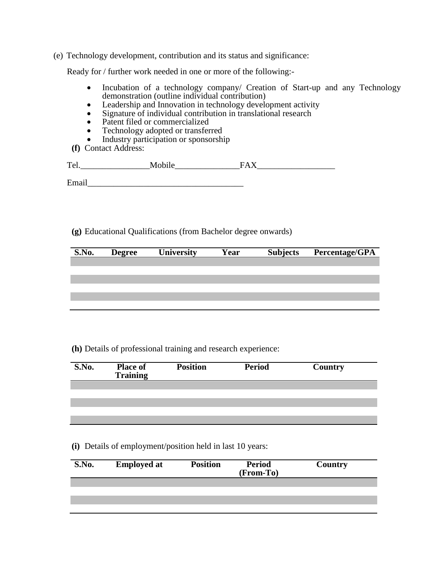(e) Technology development, contribution and its status and significance:

Ready for / further work needed in one or more of the following:-

- Incubation of a technology company/ Creation of Start-up and any Technology demonstration (outline individual contribution)
- Leadership and Innovation in technology development activity
- Signature of individual contribution in translational research
- Patent filed or commercialized
- Technology adopted or transferred<br>• Industry participation or sponsorshi
- Industry participation or sponsorship
- **(f)** Contact Address:

| m |  |
|---|--|
|   |  |

Email

**(g)** Educational Qualifications (from Bachelor degree onwards)

| S.No. | <b>Degree</b> | <b>University</b> | Year | <b>Subjects</b> | <b>Percentage/GPA</b> |
|-------|---------------|-------------------|------|-----------------|-----------------------|
|       |               |                   |      |                 |                       |
|       |               |                   |      |                 |                       |
|       |               |                   |      |                 |                       |
|       |               |                   |      |                 |                       |
|       |               |                   |      |                 |                       |
|       |               |                   |      |                 |                       |
|       |               |                   |      |                 |                       |

#### **(h)** Details of professional training and research experience:

| S.No. | <b>Place of</b><br><b>Training</b> | <b>Position</b> | <b>Period</b> | Country |  |
|-------|------------------------------------|-----------------|---------------|---------|--|
|       |                                    |                 |               |         |  |
|       |                                    |                 |               |         |  |
|       |                                    |                 |               |         |  |
|       |                                    |                 |               |         |  |
|       |                                    |                 |               |         |  |

**(i)** Details of employment/position held in last 10 years:

| S.No. | <b>Employed at</b> | <b>Position</b> | <b>Period</b><br>(From-To) | Country |
|-------|--------------------|-----------------|----------------------------|---------|
|       |                    |                 |                            |         |
|       |                    |                 |                            |         |
|       |                    |                 |                            |         |
|       |                    |                 |                            |         |
|       |                    |                 |                            |         |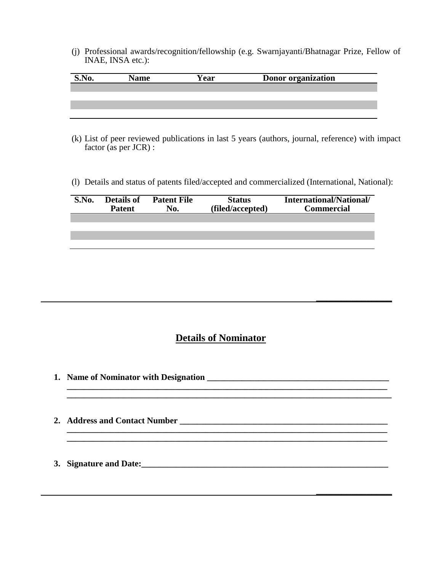(j) Professional awards/recognition/fellowship (e.g. Swarnjayanti/Bhatnagar Prize, Fellow of INAE, INSA etc.):

| Name | <b>Year</b> | <b>Donor organization</b> |
|------|-------------|---------------------------|
|      |             |                           |
|      |             |                           |
|      |             |                           |
|      |             |                           |

- (k) List of peer reviewed publications in last 5 years (authors, journal, reference) with impact factor (as per JCR) :
- (l) Details and status of patents filed/accepted and commercialized (International, National):

| S.No. | <b>Details of</b><br><b>Patent</b> | <b>Patent File</b><br>No. | <b>Status</b><br>(filed/accepted) | International/National/<br><b>Commercial</b> |
|-------|------------------------------------|---------------------------|-----------------------------------|----------------------------------------------|
|       |                                    |                           |                                   |                                              |
|       |                                    |                           |                                   |                                              |
|       |                                    |                           |                                   |                                              |

# **Details of Nominator**

**\_\_\_\_\_\_\_\_\_\_\_\_\_\_\_\_\_\_\_\_\_\_\_\_\_\_\_\_\_\_\_\_\_\_\_\_\_\_\_\_\_\_\_\_\_\_\_\_\_\_\_\_\_\_\_\_\_\_\_\_\_\_\_\_\_\_\_\_\_\_\_\_\_\_**

**\_\_\_\_\_\_\_\_\_\_\_\_\_\_\_\_\_\_\_\_\_\_\_\_\_\_\_\_\_\_\_\_\_\_\_\_\_\_\_\_\_\_\_\_\_\_\_\_\_\_\_\_\_\_\_\_\_\_\_\_\_\_\_\_\_\_\_\_\_\_\_\_\_\_**

**\_\_\_\_\_\_\_\_\_\_\_\_\_\_\_**

**\_\_\_\_\_\_\_\_\_\_\_\_\_\_\_**

**1. Name of Nominator with Designation** 

**\_\_\_\_\_\_\_\_\_\_\_\_\_\_\_\_\_\_\_\_\_\_\_\_\_\_\_\_\_\_\_\_\_\_\_\_\_\_\_\_\_\_\_\_\_\_\_\_\_\_\_\_\_\_\_\_\_\_\_\_\_\_\_\_\_\_\_\_\_\_\_\_\_\_\_**

- **2. Address and Contact Number \_\_\_\_\_\_\_\_\_\_\_\_\_\_\_\_\_\_\_\_\_\_\_\_\_\_\_\_\_\_\_\_\_\_\_\_\_\_\_\_\_\_\_\_\_\_\_\_ \_\_\_\_\_\_\_\_\_\_\_\_\_\_\_\_\_\_\_\_\_\_\_\_\_\_\_\_\_\_\_\_\_\_\_\_\_\_\_\_\_\_\_\_\_\_\_\_\_\_\_\_\_\_\_\_\_\_\_\_\_\_\_\_\_\_\_\_\_\_\_\_\_\_**
- **3. Signature and Date:\_\_\_\_\_\_\_\_\_\_\_\_\_\_\_\_\_\_\_\_\_\_\_\_\_\_\_\_\_\_\_\_\_\_\_\_\_\_\_\_\_\_\_\_\_\_\_\_\_\_\_\_\_\_\_\_\_**